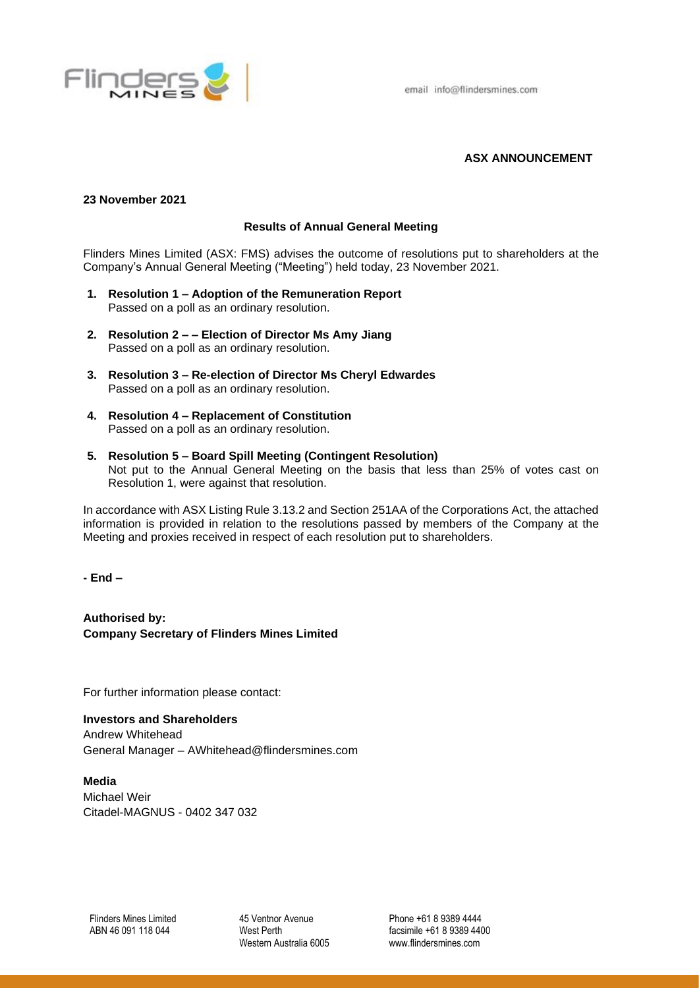

## **ASX ANNOUNCEMENT**

## **23 November 2021**

## **Results of Annual General Meeting**

Flinders Mines Limited (ASX: FMS) advises the outcome of resolutions put to shareholders at the Company's Annual General Meeting ("Meeting") held today, 23 November 2021.

- **1. Resolution 1 – Adoption of the Remuneration Report** Passed on a poll as an ordinary resolution.
- **2. Resolution 2 – – Election of Director Ms Amy Jiang** Passed on a poll as an ordinary resolution.
- **3. Resolution 3 – Re-election of Director Ms Cheryl Edwardes** Passed on a poll as an ordinary resolution.
- **4. Resolution 4 – Replacement of Constitution** Passed on a poll as an ordinary resolution.
- **5. Resolution 5 – Board Spill Meeting (Contingent Resolution)** Not put to the Annual General Meeting on the basis that less than 25% of votes cast on Resolution 1, were against that resolution.

In accordance with ASX Listing Rule 3.13.2 and Section 251AA of the Corporations Act, the attached information is provided in relation to the resolutions passed by members of the Company at the Meeting and proxies received in respect of each resolution put to shareholders.

**- End –**

**Authorised by: Company Secretary of Flinders Mines Limited**

For further information please contact:

**Investors and Shareholders** Andrew Whitehead General Manager – AWhitehead@flindersmines.com

**Media**  Michael Weir Citadel-MAGNUS - 0402 347 032

Flinders Mines Limited ABN 46 091 118 044

45 Ventnor Avenue West Perth Western Australia 6005 Phone +61 8 9389 4444 facsimile +61 8 9389 4400 www.flindersmines.com